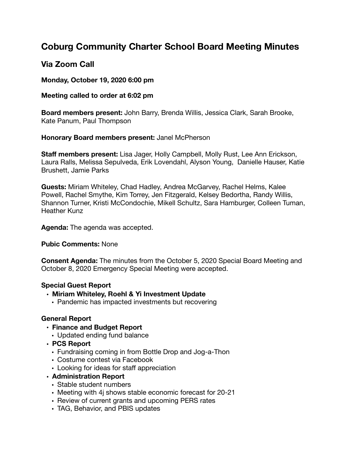# **Coburg Community Charter School Board Meeting Minutes**

## **Via Zoom Call**

**Monday, October 19, 2020 6:00 pm** 

## **Meeting called to order at 6:02 pm**

**Board members present:** John Barry, Brenda Willis, Jessica Clark, Sarah Brooke, Kate Panum, Paul Thompson

### **Honorary Board members present:** Janel McPherson

**Staff members present:** Lisa Jager, Holly Campbell, Molly Rust, Lee Ann Erickson, Laura Ralls, Melissa Sepulveda, Erik Lovendahl, Alyson Young, Danielle Hauser, Katie Brushett, Jamie Parks

**Guests:** Miriam Whiteley, Chad Hadley, Andrea McGarvey, Rachel Helms, Kalee Powell, Rachel Smythe, Kim Torrey, Jen Fitzgerald, Kelsey Bedortha, Randy Willis, Shannon Turner, Kristi McCondochie, Mikell Schultz, Sara Hamburger, Colleen Tuman, Heather Kunz

**Agenda:** The agenda was accepted.

## **Pubic Comments:** None

**Consent Agenda:** The minutes from the October 5, 2020 Special Board Meeting and October 8, 2020 Emergency Special Meeting were accepted.

## **Special Guest Report**

- **• Miriam Whiteley, Roehl & Yi Investment Update** 
	- Pandemic has impacted investments but recovering

## **General Report**

- **• Finance and Budget Report** 
	- Updated ending fund balance
- **• PCS Report** 
	- Fundraising coming in from Bottle Drop and Jog-a-Thon
	- Costume contest via Facebook
	- Looking for ideas for staff appreciation

## **• Administration Report**

- Stable student numbers
- Meeting with 4j shows stable economic forecast for 20-21
- Review of current grants and upcoming PERS rates
- TAG, Behavior, and PBIS updates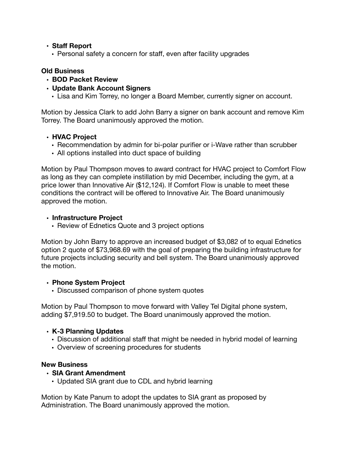#### **• Staff Report**

• Personal safety a concern for staff, even after facility upgrades

#### **Old Business**

- **• BOD Packet Review**
- **• Update Bank Account Signers** 
	- Lisa and Kim Torrey, no longer a Board Member, currently signer on account.

Motion by Jessica Clark to add John Barry a signer on bank account and remove Kim Torrey. The Board unanimously approved the motion.

#### **• HVAC Project**

- Recommendation by admin for bi-polar purifier or i-Wave rather than scrubber
- All options installed into duct space of building

Motion by Paul Thompson moves to award contract for HVAC project to Comfort Flow as long as they can complete instillation by mid December, including the gym, at a price lower than Innovative Air (\$12,124). If Comfort Flow is unable to meet these conditions the contract will be offered to Innovative Air. The Board unanimously approved the motion.

#### **• Infrastructure Project**

• Review of Ednetics Quote and 3 project options

Motion by John Barry to approve an increased budget of \$3,082 of to equal Ednetics option 2 quote of \$73,968.69 with the goal of preparing the building infrastructure for future projects including security and bell system. The Board unanimously approved the motion.

#### **• Phone System Project**

• Discussed comparison of phone system quotes

Motion by Paul Thompson to move forward with Valley Tel Digital phone system, adding \$7,919.50 to budget. The Board unanimously approved the motion.

#### **• K-3 Planning Updates**

- Discussion of additional staff that might be needed in hybrid model of learning
- Overview of screening procedures for students

#### **New Business**

#### **• SIA Grant Amendment**

• Updated SIA grant due to CDL and hybrid learning

Motion by Kate Panum to adopt the updates to SIA grant as proposed by Administration. The Board unanimously approved the motion.